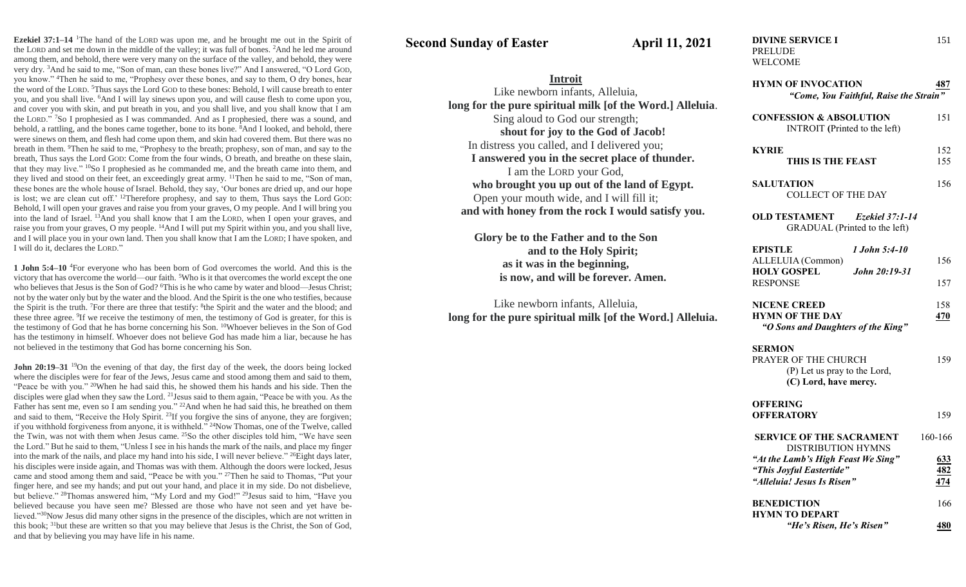**Ezekiel 37:1–14** <sup>1</sup>The hand of the LORD was upon me, and he brought me out in the Spirit of the LORD and set me down in the middle of the valley; it was full of bones. <sup>2</sup>And he led me around among them, and behold, there were very many on the surface of the valley, and behold, they were very dry. <sup>3</sup>And he said to me, "Son of man, can these bones live?" And I answered, "O Lord GOD, you know." <sup>4</sup>Then he said to me, "Prophesy over these bones, and say to them, O dry bones, hear the word of the LORD. <sup>5</sup>Thus says the Lord GOD to these bones: Behold, I will cause breath to enter you, and you shall live. <sup>6</sup>And I will lay sinews upon you, and will cause flesh to come upon you, and cover you with skin, and put breath in you, and you shall live, and you shall know that I am the LORD." <sup>7</sup>So I prophesied as I was commanded. And as I prophesied, there was a sound, and behold, a rattling, and the bones came together, bone to its bone. <sup>8</sup>And I looked, and behold, there were sinews on them, and flesh had come upon them, and skin had covered them. But there was no breath in them. <sup>9</sup>Then he said to me, "Prophesy to the breath; prophesy, son of man, and say to the breath, Thus says the Lord GOD: Come from the four winds, O breath, and breathe on these slain, that they may live." <sup>10</sup>So I prophesied as he commanded me, and the breath came into them, and they lived and stood on their feet, an exceedingly great army. <sup>11</sup>Then he said to me, "Son of man, these bones are the whole house of Israel. Behold, they say, 'Our bones are dried up, and our hope is lost; we are clean cut off.'  $12$ Therefore prophesy, and say to them, Thus says the Lord GoD: Behold, I will open your graves and raise you from your graves, O my people. And I will bring you into the land of Israel.  $\frac{13}{13}$ And you shall know that I am the LORD, when I open your graves, and raise you from your graves, O my people. <sup>14</sup>And I will put my Spirit within you, and you shall live, and I will place you in your own land. Then you shall know that I am the LORD; I have spoken, and I will do it, declares the LORD."

**1 John 5:4–10** <sup>4</sup>For everyone who has been born of God overcomes the world. And this is the victory that has overcome the world—our faith. <sup>5</sup>Who is it that overcomes the world except the one who believes that Jesus is the Son of God? <sup>6</sup>This is he who came by water and blood—Jesus Christ; not by the water only but by the water and the blood. And the Spirit is the one who testifies, because the Spirit is the truth. <sup>7</sup>For there are three that testify: <sup>8</sup>the Spirit and the water and the blood; and these three agree. <sup>9</sup> If we receive the testimony of men, the testimony of God is greater, for this is the testimony of God that he has borne concerning his Son. <sup>10</sup>Whoever believes in the Son of God has the testimony in himself. Whoever does not believe God has made him a liar, because he has not believed in the testimony that God has borne concerning his Son.

**John 20:19–31** <sup>19</sup>On the evening of that day, the first day of the week, the doors being locked where the disciples were for fear of the Jews, Jesus came and stood among them and said to them, "Peace be with you." <sup>20</sup>When he had said this, he showed them his hands and his side. Then the disciples were glad when they saw the Lord. <sup>21</sup> Jesus said to them again, "Peace be with you. As the Father has sent me, even so I am sending you."  $^{22}$ And when he had said this, he breathed on them and said to them, "Receive the Holy Spirit.<sup>23</sup>If you forgive the sins of anyone, they are forgiven; if you withhold forgiveness from anyone, it is withheld." <sup>24</sup>Now Thomas, one of the Twelve, called the Twin, was not with them when Jesus came. <sup>25</sup>So the other disciples told him, "We have seen the Lord." But he said to them, "Unless I see in his hands the mark of the nails, and place my finger into the mark of the nails, and place my hand into his side, I will never believe." <sup>26</sup>Eight days later, his disciples were inside again, and Thomas was with them. Although the doors were locked, Jesus came and stood among them and said, "Peace be with you." <sup>27</sup>Then he said to Thomas, "Put your finger here, and see my hands; and put out your hand, and place it in my side. Do not disbelieve, but believe." <sup>28</sup>Thomas answered him, "My Lord and my God!" <sup>29</sup>Jesus said to him, "Have you believed because you have seen me? Blessed are those who have not seen and yet have believed."<sup>30</sup>Now Jesus did many other signs in the presence of the disciples, which are not written in this book; <sup>31</sup>but these are written so that you may believe that Jesus is the Christ, the Son of God, and that by believing you may have life in his name.

**Second Sunday of Easter April 11, 2021** 

**Introit** Like newborn infants, Alleluia,

Sing aloud to God our strength;

In distress you called, and I delivered you;

I am the LORD your God,

Open your mouth wide, and I will fill it;

**Glory be to the Father and to the Son**

**as it was in the beginning,**

Like newborn infants, Alleluia,

**long for the pure spiritual milk [of the Word.] Alleluia**.

**shout for joy to the God of Jacob!**

**I answered you in the secret place of thunder.**

**who brought you up out of the land of Egypt.**

**and with honey from the rock I would satisfy you.**

**and to the Holy Spirit;**

**is now, and will be forever. Amen.**

**long for the pure spiritual milk [of the Word.] Alleluia.**

PRELUDE WELCOME

| <b>HYMN OF INVOCATION</b><br>"Come, You Faithful, Raise the Strain"                            | 487               |
|------------------------------------------------------------------------------------------------|-------------------|
| <b>CONFESSION &amp; ABSOLUTION</b><br><b>INTROIT</b> (Printed to the left)                     | 151               |
| <b>KYRIE</b><br>THIS IS THE FEAST                                                              | 152<br>155        |
| SALUTATION<br><b>COLLECT OF THE DAY</b>                                                        | 156               |
| <b>OLD TESTAMENT</b><br>Ezekiel 37:1-14<br>GRADUAL (Printed to the left)                       |                   |
| <b>EPISTLE</b><br>1 John 5:4-10<br>ALLELUIA (Common)<br><b>HOLY GOSPEL</b><br>John 20:19-31    | 156               |
| <b>RESPONSE</b>                                                                                | 157               |
| <b>NICENE CREED</b><br><b>HYMN OF THE DAY</b><br>"O Sons and Daughters of the King"            | 158<br>470        |
| <b>SERMON</b><br>PRAYER OF THE CHURCH<br>(P) Let us pray to the Lord,<br>(C) Lord, have mercy. | 159               |
| <b>OFFERING</b><br><b>OFFERATORY</b>                                                           | 159               |
| <b>SERVICE OF THE SACRAMENT</b><br><b>DISTRIBUTION HYMNS</b>                                   | 160-166           |
| "At the Lamb's High Feast We Sing"<br>"This Joyful Eastertide"<br>"Alleluia! Jesus Is Risen"   | 633<br>482<br>474 |
| <b>BENEDICTION</b><br><b>HYMN TO DEPART</b>                                                    | 166               |
| "He's Risen, He's Risen"                                                                       | 480               |

**DIVINE SERVICE I** 151